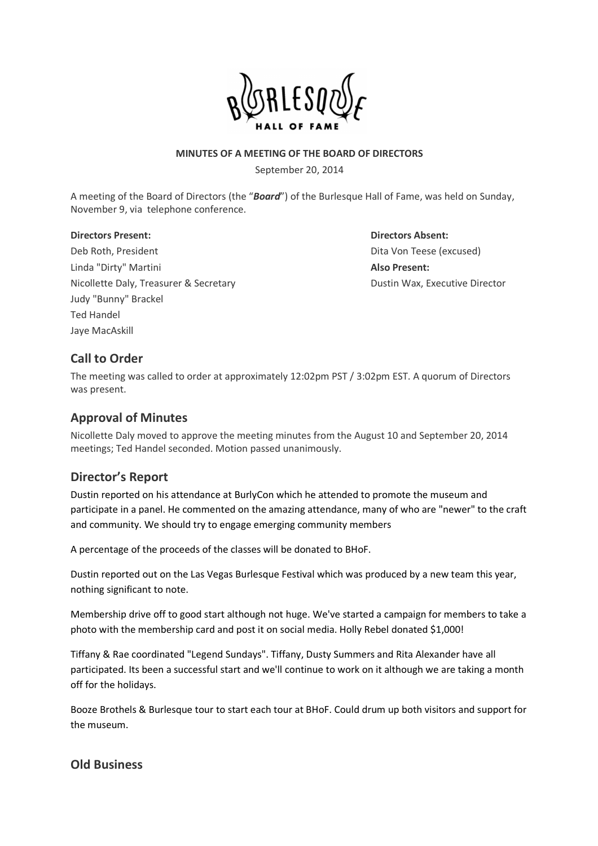

#### **MINUTES OF A MEETING OF THE BOARD OF DIRECTORS**

September 20, 2014

A meeting of the Board of Directors (the "*Board*") of the Burlesque Hall of Fame, was held on Sunday, November 9, via telephone conference.

#### **Directors Present: Directors Absent:**

Deb Roth, President Dita Von Teese (excused) Linda "Dirty" Martini **Also Present:** Nicollette Daly, Treasurer & Secretary **Dustin Wax, Executive Director** Dustin Wax, Executive Director Judy "Bunny" Brackel Ted Handel Jaye MacAskill

# **Call to Order**

The meeting was called to order at approximately 12:02pm PST / 3:02pm EST. A quorum of Directors was present.

## **Approval of Minutes**

Nicollette Daly moved to approve the meeting minutes from the August 10 and September 20, 2014 meetings; Ted Handel seconded. Motion passed unanimously.

## **Director's Report**

Dustin reported on his attendance at BurlyCon which he attended to promote the museum and participate in a panel. He commented on the amazing attendance, many of who are "newer" to the craft and community. We should try to engage emerging community members

A percentage of the proceeds of the classes will be donated to BHoF.

Dustin reported out on the Las Vegas Burlesque Festival which was produced by a new team this year, nothing significant to note.

Membership drive off to good start although not huge. We've started a campaign for members to take a photo with the membership card and post it on social media. Holly Rebel donated \$1,000!

Tiffany & Rae coordinated "Legend Sundays". Tiffany, Dusty Summers and Rita Alexander have all participated. Its been a successful start and we'll continue to work on it although we are taking a month off for the holidays.

Booze Brothels & Burlesque tour to start each tour at BHoF. Could drum up both visitors and support for the museum.

## **Old Business**